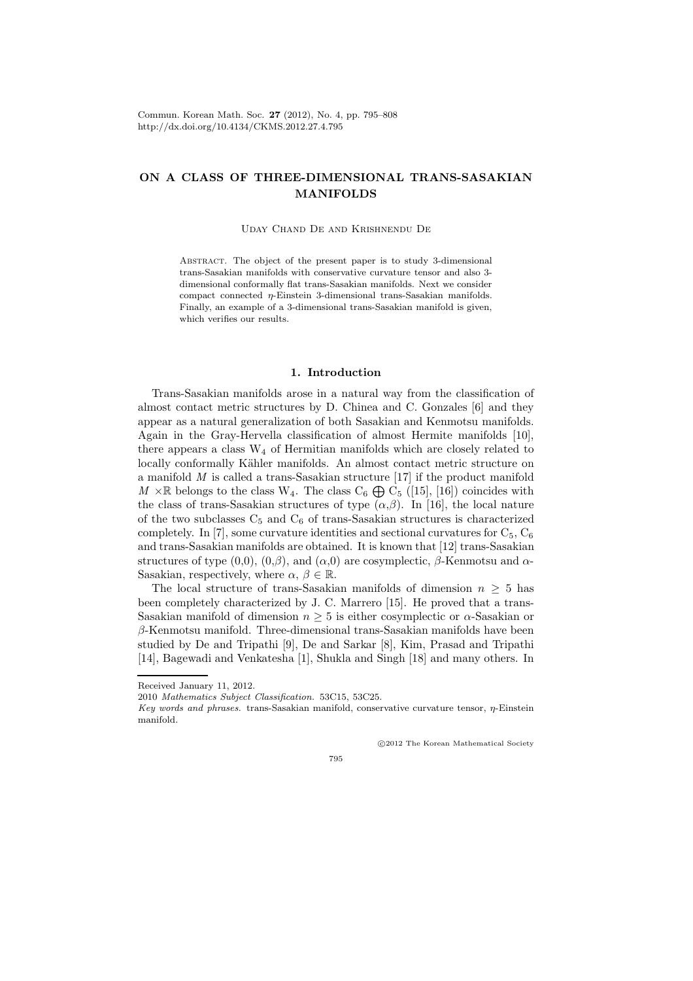# ON A CLASS OF THREE-DIMENSIONAL TRANS-SASAKIAN MANIFOLDS

Uday Chand De and Krishnendu De

Abstract. The object of the present paper is to study 3-dimensional trans-Sasakian manifolds with conservative curvature tensor and also 3 dimensional conformally flat trans-Sasakian manifolds. Next we consider compact connected  $\eta$ -Einstein 3-dimensional trans-Sasakian manifolds. Finally, an example of a 3-dimensional trans-Sasakian manifold is given, which verifies our results.

### 1. Introduction

Trans-Sasakian manifolds arose in a natural way from the classification of almost contact metric structures by D. Chinea and C. Gonzales [6] and they appear as a natural generalization of both Sasakian and Kenmotsu manifolds. Again in the Gray-Hervella classification of almost Hermite manifolds [10], there appears a class  $W_4$  of Hermitian manifolds which are closely related to locally conformally Kähler manifolds. An almost contact metric structure on a manifold  $M$  is called a trans-Sasakian structure [17] if the product manifold  $M \times \mathbb{R}$  belongs to the class  $W_4$ . The class  $C_6 \oplus C_5$  ([15], [16]) coincides with the class of trans-Sasakian structures of type  $(\alpha, \beta)$ . In [16], the local nature of the two subclasses  $C_5$  and  $C_6$  of trans-Sasakian structures is characterized completely. In [7], some curvature identities and sectional curvatures for  $C_5$ ,  $C_6$ and trans-Sasakian manifolds are obtained. It is known that [12] trans-Sasakian structures of type  $(0,0)$ ,  $(0,\beta)$ , and  $(\alpha,0)$  are cosymplectic,  $\beta$ -Kenmotsu and  $\alpha$ -Sasakian, respectively, where  $\alpha, \beta \in \mathbb{R}$ .

The local structure of trans-Sasakian manifolds of dimension  $n \geq 5$  has been completely characterized by J. C. Marrero [15]. He proved that a trans-Sasakian manifold of dimension  $n \geq 5$  is either cosymplectic or  $\alpha$ -Sasakian or β-Kenmotsu manifold. Three-dimensional trans-Sasakian manifolds have been studied by De and Tripathi [9], De and Sarkar [8], Kim, Prasad and Tripathi [14], Bagewadi and Venkatesha [1], Shukla and Singh [18] and many others. In

Received January 11, 2012.

c 2012 The Korean Mathematical Society

795

<sup>2010</sup> Mathematics Subject Classification. 53C15, 53C25.

Key words and phrases. trans-Sasakian manifold, conservative curvature tensor,  $\eta$ -Einstein manifold.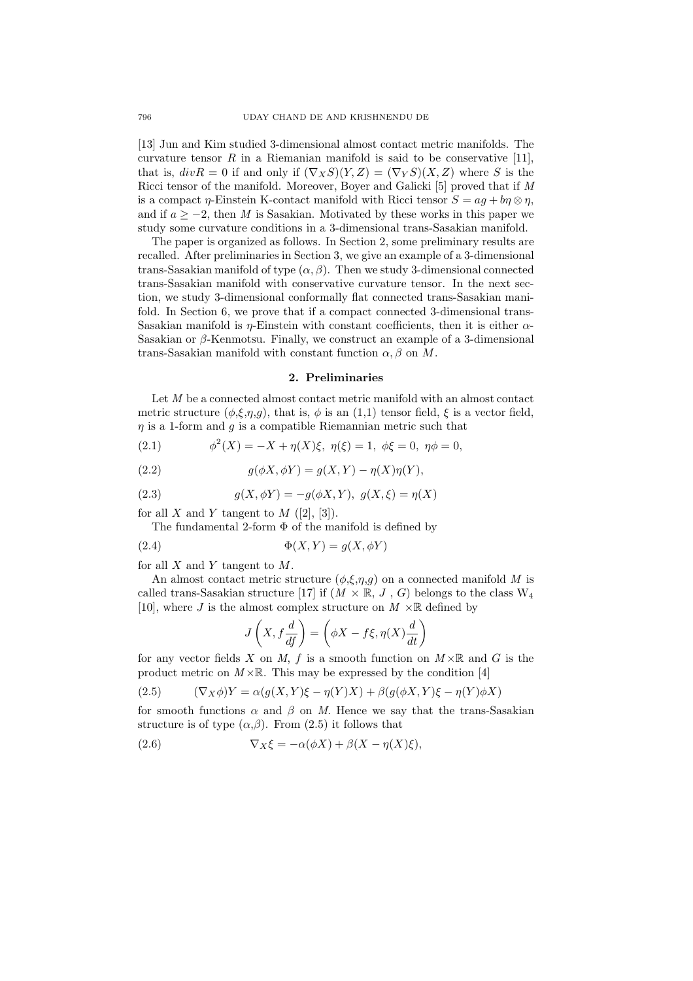[13] Jun and Kim studied 3-dimensional almost contact metric manifolds. The curvature tensor  $R$  in a Riemanian manifold is said to be conservative [11], that is,  $divR = 0$  if and only if  $(\nabla_X S)(Y, Z) = (\nabla_Y S)(X, Z)$  where S is the Ricci tensor of the manifold. Moreover, Boyer and Galicki [5] proved that if M is a compact  $\eta$ -Einstein K-contact manifold with Ricci tensor  $S = aq + b\eta \otimes \eta$ , and if  $a > -2$ , then M is Sasakian. Motivated by these works in this paper we study some curvature conditions in a 3-dimensional trans-Sasakian manifold.

The paper is organized as follows. In Section 2, some preliminary results are recalled. After preliminaries in Section 3, we give an example of a 3-dimensional trans-Sasakian manifold of type  $(\alpha, \beta)$ . Then we study 3-dimensional connected trans-Sasakian manifold with conservative curvature tensor. In the next section, we study 3-dimensional conformally flat connected trans-Sasakian manifold. In Section 6, we prove that if a compact connected 3-dimensional trans-Sasakian manifold is  $\eta$ -Einstein with constant coefficients, then it is either  $\alpha$ -Sasakian or  $\beta$ -Kenmotsu. Finally, we construct an example of a 3-dimensional trans-Sasakian manifold with constant function  $\alpha$ ,  $\beta$  on M.

#### 2. Preliminaries

Let M be a connected almost contact metric manifold with an almost contact metric structure  $(\phi, \xi, \eta, g)$ , that is,  $\phi$  is an  $(1,1)$  tensor field,  $\xi$  is a vector field,  $\eta$  is a 1-form and  $g$  is a compatible Riemannian metric such that

(2.1) 
$$
\phi^2(X) = -X + \eta(X)\xi, \ \eta(\xi) = 1, \ \phi\xi = 0, \ \eta\phi = 0,
$$

(2.2) 
$$
g(\phi X, \phi Y) = g(X, Y) - \eta(X)\eta(Y),
$$

(2.3) 
$$
g(X, \phi Y) = -g(\phi X, Y), \ g(X, \xi) = \eta(X)
$$

for all X and Y tangent to  $M$  ([2], [3]).

The fundamental 2-form  $\Phi$  of the manifold is defined by

(2.4) Φ(X, Y ) = g(X, φY )

for all  $X$  and  $Y$  tangent to  $M$ .

An almost contact metric structure  $(\phi, \xi, \eta, g)$  on a connected manifold M is called trans-Sasakian structure [17] if  $(M \times \mathbb{R}, J, G)$  belongs to the class  $W_4$ [10], where J is the almost complex structure on  $M \times \mathbb{R}$  defined by

$$
J\left(X, f\frac{d}{dt}\right) = \left(\phi X - f\xi, \eta(X)\frac{d}{dt}\right)
$$

for any vector fields X on M, f is a smooth function on  $M \times \mathbb{R}$  and G is the product metric on  $M \times \mathbb{R}$ . This may be expressed by the condition [4]

(2.5) 
$$
(\nabla_X \phi)Y = \alpha(g(X, Y)\xi - \eta(Y)X) + \beta(g(\phi X, Y)\xi - \eta(Y)\phi X)
$$

for smooth functions  $\alpha$  and  $\beta$  on M. Hence we say that the trans-Sasakian structure is of type  $(\alpha, \beta)$ . From  $(2.5)$  it follows that

(2.6) 
$$
\nabla_X \xi = -\alpha(\phi X) + \beta(X - \eta(X)\xi),
$$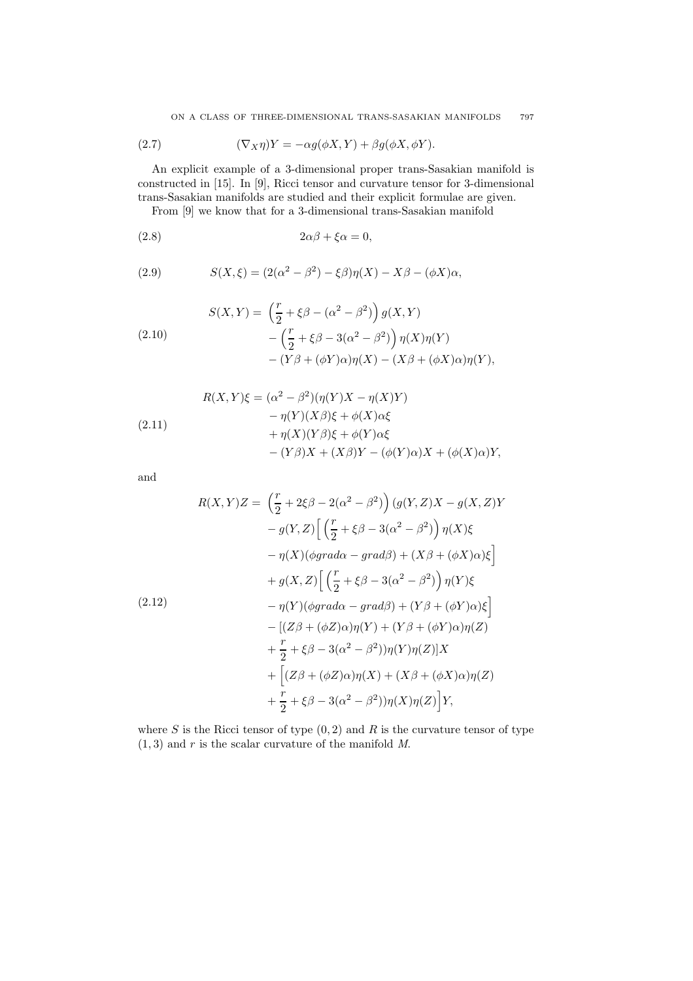(2.7) 
$$
(\nabla_X \eta)Y = -\alpha g(\phi X, Y) + \beta g(\phi X, \phi Y).
$$

An explicit example of a 3-dimensional proper trans-Sasakian manifold is constructed in [15]. In [9], Ricci tensor and curvature tensor for 3-dimensional trans-Sasakian manifolds are studied and their explicit formulae are given.

From [9] we know that for a 3-dimensional trans-Sasakian manifold

$$
(2.8) \t\t 2\alpha\beta + \xi\alpha = 0,
$$

(2.9) 
$$
S(X,\xi) = (2(\alpha^2 - \beta^2) - \xi\beta)\eta(X) - X\beta - (\phi X)\alpha,
$$

(2.10)  
\n
$$
S(X,Y) = \left(\frac{r}{2} + \xi\beta - (\alpha^2 - \beta^2)\right)g(X,Y)
$$
\n
$$
- \left(\frac{r}{2} + \xi\beta - 3(\alpha^2 - \beta^2)\right)\eta(X)\eta(Y)
$$
\n
$$
- (Y\beta + (\phi Y)\alpha)\eta(X) - (X\beta + (\phi X)\alpha)\eta(Y),
$$

(2.11)  
\n
$$
R(X,Y)\xi = (\alpha^2 - \beta^2)(\eta(Y)X - \eta(X)Y)
$$
\n
$$
- \eta(Y)(X\beta)\xi + \phi(X)\alpha\xi
$$
\n
$$
+ \eta(X)(Y\beta)\xi + \phi(Y)\alpha\xi
$$
\n
$$
- (Y\beta)X + (X\beta)Y - (\phi(Y)\alpha)X + (\phi(X)\alpha)Y,
$$

and

$$
R(X,Y)Z = \left(\frac{r}{2} + 2\xi\beta - 2(\alpha^2 - \beta^2)\right) \left(g(Y,Z)X - g(X,Z)Y\right)
$$

$$
- g(Y,Z) \left[\left(\frac{r}{2} + \xi\beta - 3(\alpha^2 - \beta^2)\right) \eta(X)\xi\right]
$$

$$
- \eta(X)(\phi grad\alpha - grad\beta) + (X\beta + (\phi X)\alpha)\xi\right]
$$

$$
+ g(X,Z) \left[\left(\frac{r}{2} + \xi\beta - 3(\alpha^2 - \beta^2)\right) \eta(Y)\xi\right]
$$

$$
- \eta(Y)(\phi grad\alpha - grad\beta) + (Y\beta + (\phi Y)\alpha)\xi\right]
$$

$$
- \left[(Z\beta + (\phi Z)\alpha)\eta(Y) + (Y\beta + (\phi Y)\alpha)\eta(Z)\right]
$$

$$
+ \frac{r}{2} + \xi\beta - 3(\alpha^2 - \beta^2))\eta(Y)\eta(Z)\right]X
$$

$$
+ \left[(Z\beta + (\phi Z)\alpha)\eta(X) + (X\beta + (\phi X)\alpha)\eta(Z)\right]
$$

$$
+ \frac{r}{2} + \xi\beta - 3(\alpha^2 - \beta^2))\eta(X)\eta(Z)\right]Y,
$$

where  $S$  is the Ricci tensor of type  $(0, 2)$  and  $R$  is the curvature tensor of type  $(1, 3)$  and r is the scalar curvature of the manifold M.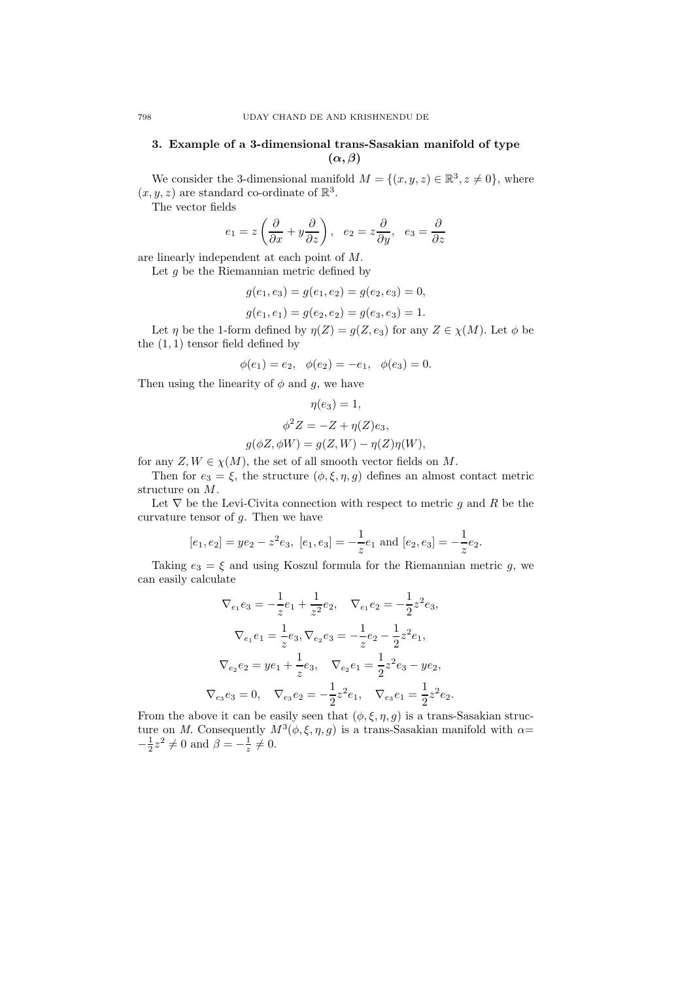# 3. Example of a 3-dimensional trans-Sasakian manifold of type  $(\alpha, \beta)$

We consider the 3-dimensional manifold  $M = \{(x, y, z) \in \mathbb{R}^3, z \neq 0\}$ , where  $(x, y, z)$  are standard co-ordinate of  $\mathbb{R}^3$ .

The vector fields

$$
e_1 = z \left(\frac{\partial}{\partial x} + y \frac{\partial}{\partial z}\right), e_2 = z \frac{\partial}{\partial y}, e_3 = \frac{\partial}{\partial z}
$$

are linearly independent at each point of M.

Let  $g$  be the Riemannian metric defined by

$$
g(e_1, e_3) = g(e_1, e_2) = g(e_2, e_3) = 0,
$$

$$
g(e_1, e_1) = g(e_2, e_2) = g(e_3, e_3) = 1.
$$

Let  $\eta$  be the 1-form defined by  $\eta(Z) = g(Z, e_3)$  for any  $Z \in \chi(M)$ . Let  $\phi$  be the  $(1, 1)$  tensor field defined by

$$
\phi(e_1) = e_2, \quad \phi(e_2) = -e_1, \quad \phi(e_3) = 0.
$$

Then using the linearity of  $\phi$  and  $g$ , we have

$$
\eta(e_3) = 1,
$$
  
\n
$$
\phi^2 Z = -Z + \eta(Z)e_3,
$$
  
\n
$$
g(\phi Z, \phi W) = g(Z, W) - \eta(Z)\eta(W),
$$

for any  $Z, W \in \chi(M)$ , the set of all smooth vector fields on M.

Then for  $e_3 = \xi$ , the structure  $(\phi, \xi, \eta, g)$  defines an almost contact metric structure on M.

Let  $\nabla$  be the Levi-Civita connection with respect to metric g and R be the curvature tensor of  $g$ . Then we have

$$
[e_1, e_2] = ye_2 - z^2 e_3
$$
,  $[e_1, e_3] = -\frac{1}{z} e_1$  and  $[e_2, e_3] = -\frac{1}{z} e_2$ .

Taking  $e_3 = \xi$  and using Koszul formula for the Riemannian metric g, we can easily calculate

$$
\nabla_{e_1} e_3 = -\frac{1}{z} e_1 + \frac{1}{z^2} e_2, \quad \nabla_{e_1} e_2 = -\frac{1}{2} z^2 e_3,
$$
  

$$
\nabla_{e_1} e_1 = \frac{1}{z} e_3, \nabla_{e_2} e_3 = -\frac{1}{z} e_2 - \frac{1}{2} z^2 e_1,
$$
  

$$
\nabla_{e_2} e_2 = ye_1 + \frac{1}{z} e_3, \quad \nabla_{e_2} e_1 = \frac{1}{2} z^2 e_3 - ye_2,
$$
  

$$
\nabla_{e_3} e_3 = 0, \quad \nabla_{e_3} e_2 = -\frac{1}{2} z^2 e_1, \quad \nabla_{e_3} e_1 = \frac{1}{2} z^2 e_2.
$$

From the above it can be easily seen that  $(\phi, \xi, \eta, g)$  is a trans-Sasakian structure on M. Consequently  $M^3(\phi, \xi, \eta, g)$  is a trans-Sasakian manifold with  $\alpha =$  $-\frac{1}{2}z^2 \neq 0$  and  $\beta = -\frac{1}{z} \neq 0$ .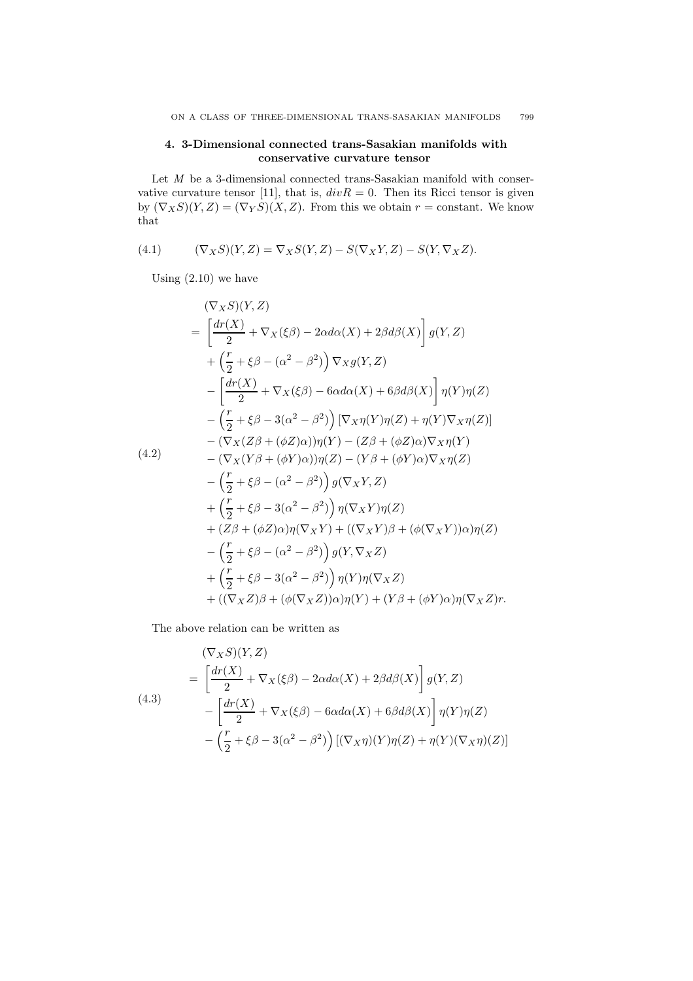### 4. 3-Dimensional connected trans-Sasakian manifolds with conservative curvature tensor

Let  $M$  be a 3-dimensional connected trans-Sasakian manifold with conservative curvature tensor [11], that is,  $divR = 0$ . Then its Ricci tensor is given by  $(\nabla_X S)(Y, Z) = (\nabla_Y S)(X, Z)$ . From this we obtain  $r = constant$ . We know that

(4.1) 
$$
(\nabla_X S)(Y,Z) = \nabla_X S(Y,Z) - S(\nabla_X Y,Z) - S(Y,\nabla_X Z).
$$

Using  $(2.10)$  we have

$$
(\nabla_X S)(Y, Z)
$$
  
=  $\left[\frac{dr(X)}{2} + \nabla_X(\xi \beta) - 2\alpha d\alpha(X) + 2\beta d\beta(X)\right] g(Y, Z)$   
+  $\left(\frac{r}{2} + \xi \beta - (\alpha^2 - \beta^2)\right) \nabla_X g(Y, Z)$   
-  $\left[\frac{dr(X)}{2} + \nabla_X(\xi \beta) - 6\alpha d\alpha(X) + 6\beta d\beta(X)\right] \eta(Y)\eta(Z)$   
-  $\left(\frac{r}{2} + \xi \beta - 3(\alpha^2 - \beta^2)\right) [\nabla_X \eta(Y)\eta(Z) + \eta(Y)\nabla_X \eta(Z)]$   
-  $(\nabla_X(Z\beta + (\phi Z)\alpha))\eta(Y) - (Z\beta + (\phi Z)\alpha)\nabla_X \eta(Y)$   
-  $(\nabla_X(Y\beta + (\phi Y)\alpha))\eta(Z) - (Y\beta + (\phi Y)\alpha)\nabla_X \eta(Z)$   
-  $\left(\frac{r}{2} + \xi \beta - (\alpha^2 - \beta^2)\right) g(\nabla_X Y, Z)$   
+  $\left(\frac{r}{2} + \xi \beta - 3(\alpha^2 - \beta^2)\right) \eta(\nabla_X Y)\eta(Z)$   
+  $(Z\beta + (\phi Z)\alpha)\eta(\nabla_X Y) + ((\nabla_X Y)\beta + (\phi(\nabla_X Y))\alpha)\eta(Z)$   
-  $\left(\frac{r}{2} + \xi \beta - (\alpha^2 - \beta^2)\right) g(Y, \nabla_X Z)$   
+  $\left(\frac{r}{2} + \xi \beta - 3(\alpha^2 - \beta^2)\right) \eta(Y)\eta(\nabla_X Z)$   
+  $((\nabla_X Z)\beta + (\phi(\nabla_X Z))\alpha)\eta(Y) + (Y\beta + (\phi Y)\alpha)\eta(\nabla_X Z)r$ .

The above relation can be written as

(4.3)  
\n
$$
= \left[\frac{dr(X)}{2} + \nabla_X(\xi\beta) - 2\alpha d\alpha(X) + 2\beta d\beta(X)\right] g(Y, Z)
$$
\n
$$
- \left[\frac{dr(X)}{2} + \nabla_X(\xi\beta) - 6\alpha d\alpha(X) + 6\beta d\beta(X)\right] \eta(Y)\eta(Z)
$$
\n
$$
- \left(\frac{r}{2} + \xi\beta - 3(\alpha^2 - \beta^2)\right) [(\nabla_X \eta)(Y)\eta(Z) + \eta(Y)(\nabla_X \eta)(Z)]
$$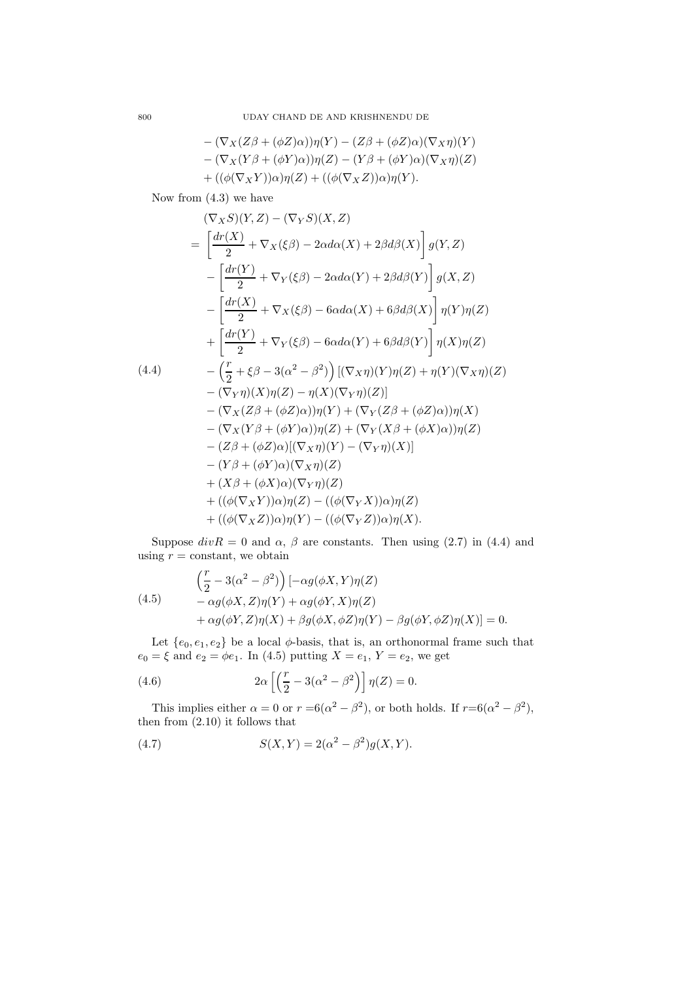$$
-(\nabla_X(Z\beta + (\phi Z)\alpha))\eta(Y) - (Z\beta + (\phi Z)\alpha)(\nabla_X\eta)(Y) - (\nabla_X(Y\beta + (\phi Y)\alpha))\eta(Z) - (Y\beta + (\phi Y)\alpha)(\nabla_X\eta)(Z) + ((\phi(\nabla_X Y))\alpha)\eta(Z) + ((\phi(\nabla_X Z))\alpha)\eta(Y).
$$

Now from (4.3) we have

$$
(\nabla_X S)(Y, Z) - (\nabla_Y S)(X, Z)
$$
  
\n
$$
= \left[\frac{dr(X)}{2} + \nabla_X(\xi\beta) - 2\alpha d\alpha(X) + 2\beta d\beta(X)\right] g(Y, Z)
$$
  
\n
$$
- \left[\frac{dr(Y)}{2} + \nabla_Y(\xi\beta) - 2\alpha d\alpha(Y) + 2\beta d\beta(Y)\right] g(X, Z)
$$
  
\n
$$
- \left[\frac{dr(X)}{2} + \nabla_X(\xi\beta) - 6\alpha d\alpha(X) + 6\beta d\beta(X)\right] \eta(Y)\eta(Z)
$$
  
\n
$$
+ \left[\frac{dr(Y)}{2} + \nabla_Y(\xi\beta) - 6\alpha d\alpha(Y) + 6\beta d\beta(Y)\right] \eta(X)\eta(Z)
$$
  
\n(4.4)  
\n
$$
- \left(\frac{r}{2} + \xi\beta - 3(\alpha^2 - \beta^2)\right) [(\nabla_X \eta)(Y)\eta(Z) + \eta(Y)(\nabla_X \eta)(Z)
$$
  
\n
$$
- (\nabla_Y \eta)(X)\eta(Z) - \eta(X)(\nabla_Y \eta)(Z)]
$$
  
\n
$$
- (\nabla_X(Z\beta + (\phi Z)\alpha))\eta(Y) + (\nabla_Y(Z\beta + (\phi Z)\alpha))\eta(X)
$$
  
\n
$$
- (\nabla_X(Y\beta + (\phi Y)\alpha))\eta(Z) + (\nabla_Y(X\beta + (\phi X)\alpha))\eta(Z)
$$
  
\n
$$
- (Z\beta + (\phi Z)\alpha)[(\nabla_X \eta)(Y) - (\nabla_Y \eta)(X)]
$$
  
\n
$$
- (Y\beta + (\phi Y)\alpha)(\nabla_Y \eta)(Z)
$$
  
\n
$$
+ ((\phi(\nabla_X Y))\alpha)\eta(Z) - ((\phi(\nabla_Y X))\alpha)\eta(X).
$$

Suppose  $div R = 0$  and  $\alpha$ ,  $\beta$  are constants. Then using (2.7) in (4.4) and using  $r = constant$ , we obtain

(4.5)  
\n
$$
\left(\frac{r}{2} - 3(\alpha^2 - \beta^2)\right) \left[ -\alpha g(\phi X, Y)\eta(Z) -\alpha g(\phi X, Z)\eta(Y) + \alpha g(\phi Y, X)\eta(Z) + \alpha g(\phi Y, Z)\eta(X) + \beta g(\phi X, \phi Z)\eta(Y) - \beta g(\phi Y, \phi Z)\eta(X) \right] = 0.
$$

Let  $\{e_0, e_1, e_2\}$  be a local  $\phi$ -basis, that is, an orthonormal frame such that  $e_0 = \xi$  and  $e_2 = \phi e_1$ . In (4.5) putting  $X = e_1, Y = e_2$ , we get

(4.6) 
$$
2\alpha \left[ \left( \frac{r}{2} - 3(\alpha^2 - \beta^2) \right) \right] \eta(Z) = 0.
$$

This implies either  $\alpha = 0$  or  $r = 6(\alpha^2 - \beta^2)$ , or both holds. If  $r = 6(\alpha^2 - \beta^2)$ , then from (2.10) it follows that

(4.7) 
$$
S(X,Y) = 2(\alpha^2 - \beta^2)g(X,Y).
$$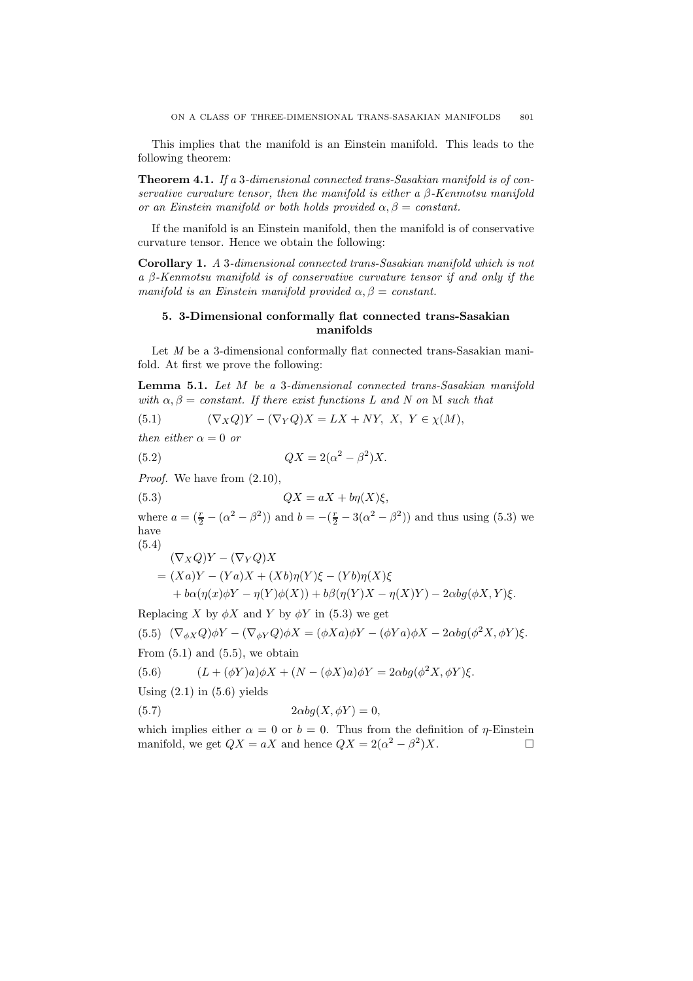This implies that the manifold is an Einstein manifold. This leads to the following theorem:

Theorem 4.1. If a 3-dimensional connected trans-Sasakian manifold is of conservative curvature tensor, then the manifold is either a  $\beta$ -Kenmotsu manifold or an Einstein manifold or both holds provided  $\alpha, \beta = constant$ .

If the manifold is an Einstein manifold, then the manifold is of conservative curvature tensor. Hence we obtain the following:

Corollary 1. A 3-dimensional connected trans-Sasakian manifold which is not a β-Kenmotsu manifold is of conservative curvature tensor if and only if the manifold is an Einstein manifold provided  $\alpha, \beta = constant$ .

## 5. 3-Dimensional conformally flat connected trans-Sasakian manifolds

Let *M* be a 3-dimensional conformally flat connected trans-Sasakian manifold. At first we prove the following:

Lemma 5.1. Let M be a 3-dimensional connected trans-Sasakian manifold with  $\alpha, \beta = constant$ . If there exist functions L and N on M such that

(5.1) 
$$
(\nabla_X Q)Y - (\nabla_Y Q)X = LX + NY, \ X, Y \in \chi(M),
$$

then either  $\alpha = 0$  or

(5.2)  $QX = 2(\alpha^2 - \beta^2)X$ .

Proof. We have from  $(2.10)$ ,

(5.3)  $QX = aX + b\eta(X)\xi,$ 

where  $a = (\frac{r}{2} - (\alpha^2 - \beta^2))$  and  $b = -(\frac{r}{2} - 3(\alpha^2 - \beta^2))$  and thus using (5.3) we have  $(5.4)$ 

$$
(\nabla_X Q)Y - (\nabla_Y Q)X
$$
  
=  $(Xa)Y - (Ya)X + (Xb)\eta(Y)\xi - (Yb)\eta(X)\xi$   
+  $b\alpha(\eta(x)\phi Y - \eta(Y)\phi(X)) + b\beta(\eta(Y)X - \eta(X)Y) - 2\alpha bg(\phi X, Y)\xi.$ 

Replacing X by  $\phi X$  and Y by  $\phi Y$  in (5.3) we get

(5.5) 
$$
(\nabla_{\phi X} Q)\phi Y - (\nabla_{\phi Y} Q)\phi X = (\phi X a)\phi Y - (\phi Y a)\phi X - 2\alpha bg(\phi^2 X, \phi Y)\xi.
$$

From  $(5.1)$  and  $(5.5)$ , we obtain

(5.6) 
$$
(L+(\phi Y)a)\phi X + (N-(\phi X)a)\phi Y = 2\alpha bg(\phi^2 X, \phi Y)\xi.
$$

Using  $(2.1)$  in  $(5.6)$  yields

(5.7) 
$$
2\alpha bg(X, \phi Y) = 0,
$$

which implies either  $\alpha = 0$  or  $b = 0$ . Thus from the definition of  $\eta$ -Einstein manifold, we get  $QX = aX$  and hence  $QX = 2(\alpha^2 - \beta^2)X$ .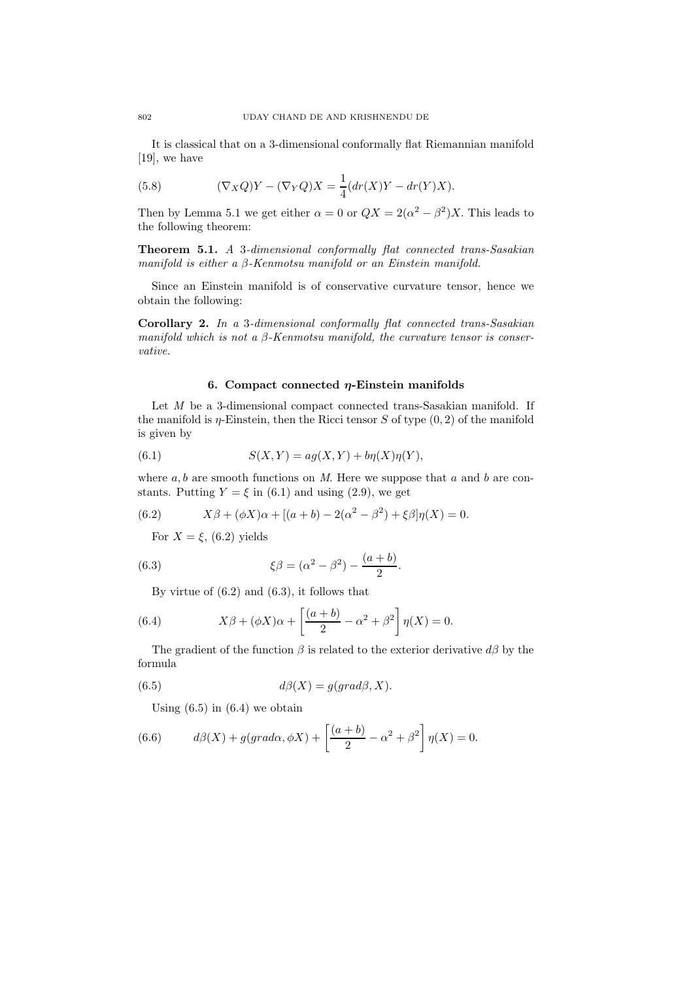It is classical that on a 3-dimensional conformally flat Riemannian manifold [19], we have

(5.8) 
$$
(\nabla_X Q)Y - (\nabla_Y Q)X = \frac{1}{4}(dr(X)Y - dr(Y)X).
$$

Then by Lemma 5.1 we get either  $\alpha = 0$  or  $QX = 2(\alpha^2 - \beta^2)X$ . This leads to the following theorem:

Theorem 5.1. A 3-dimensional conformally flat connected trans-Sasakian manifold is either a β-Kenmotsu manifold or an Einstein manifold.

Since an Einstein manifold is of conservative curvature tensor, hence we obtain the following:

Corollary 2. In a 3-dimensional conformally flat connected trans-Sasakian manifold which is not a  $\beta$ -Kenmotsu manifold, the curvature tensor is conservative.

#### 6. Compact connected  $\eta$ -Einstein manifolds

Let  $M$  be a 3-dimensional compact connected trans-Sasakian manifold. If the manifold is  $\eta$ -Einstein, then the Ricci tensor S of type  $(0, 2)$  of the manifold is given by

(6.1) 
$$
S(X,Y) = ag(X,Y) + b\eta(X)\eta(Y),
$$

where  $a, b$  are smooth functions on M. Here we suppose that  $a$  and  $b$  are constants. Putting  $Y = \xi$  in (6.1) and using (2.9), we get

(6.2) 
$$
X\beta + (\phi X)\alpha + [(a+b) - 2(\alpha^2 - \beta^2) + \xi\beta]\eta(X) = 0.
$$

For  $X = \xi$ , (6.2) yields

(6.3) 
$$
\xi \beta = (\alpha^2 - \beta^2) - \frac{(a+b)}{2}.
$$

By virtue of (6.2) and (6.3), it follows that

(6.4) 
$$
X\beta + (\phi X)\alpha + \left[\frac{(a+b)}{2} - \alpha^2 + \beta^2\right]\eta(X) = 0.
$$

The gradient of the function  $\beta$  is related to the exterior derivative  $d\beta$  by the formula

(6.5) 
$$
d\beta(X) = g(grad\beta, X).
$$

Using  $(6.5)$  in  $(6.4)$  we obtain

(6.6) 
$$
d\beta(X) + g(grad\alpha, \phi X) + \left[\frac{(a+b)}{2} - \alpha^2 + \beta^2\right] \eta(X) = 0.
$$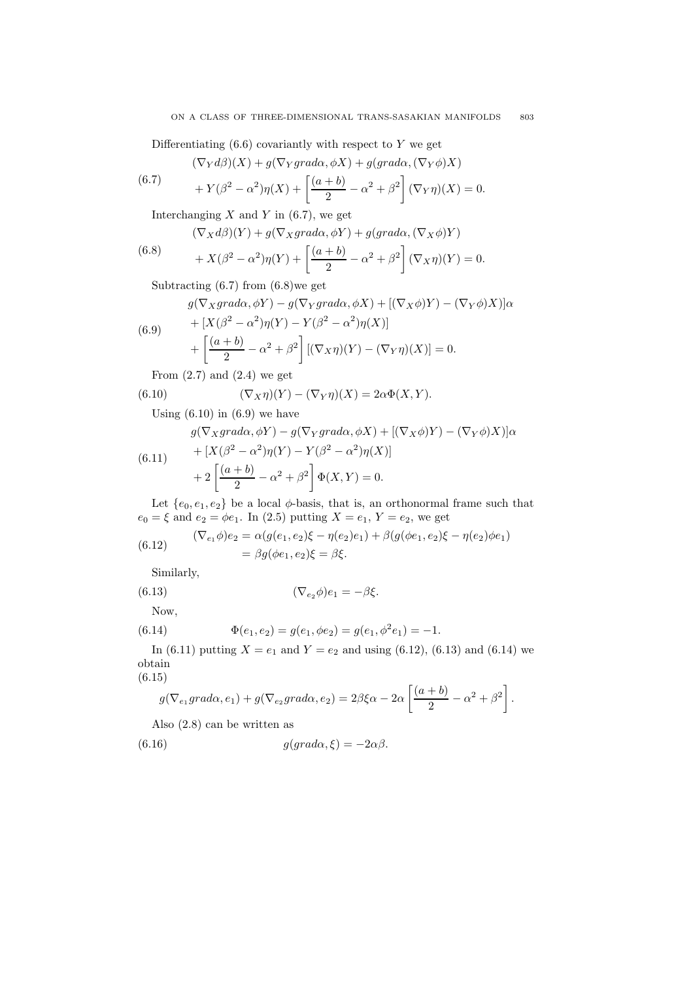Differentiating  $(6.6)$  covariantly with respect to Y we get

$$
(\nabla_Y d\beta)(X) + g(\nabla_Y grad\alpha, \phi X) + g(grad\alpha, (\nabla_Y \phi)X)
$$

(6.7) 
$$
+ Y(\beta^2 - \alpha^2)\eta(X) + \left[\frac{(a+b)}{2} - \alpha^2 + \beta^2\right](\nabla_Y \eta)(X) = 0.
$$

Interchanging  $X$  and  $Y$  in (6.7), we get

(6.8) 
$$
(\nabla_X d\beta)(Y) + g(\nabla_X grad\alpha, \phi Y) + g(grad\alpha, (\nabla_X \phi) Y)
$$

$$
+ X(\beta^2 - \alpha^2)\eta(Y) + \left[\frac{(a+b)}{2} - \alpha^2 + \beta^2\right](\nabla_X \eta)(Y) = 0.
$$

Subtracting (6.7) from (6.8)we get

$$
g(\nabla_X grad\alpha, \phi Y) - g(\nabla_Y grad\alpha, \phi X) + [(\nabla_X \phi)Y) - (\nabla_Y \phi)X] \alpha
$$
  
+ 
$$
[X(\beta^2 - \alpha^2)\eta(Y) - Y(\beta^2 - \alpha^2)\eta(X)]
$$

(6.9) 
$$
+ [X(\beta^2 - \alpha^2)\eta(Y) - Y(\beta^2 - \alpha^2)\eta(X)] + \left[\frac{(a+b)}{2} - \alpha^2 + \beta^2\right] [(\nabla_X \eta)(Y) - (\nabla_Y \eta)(X)] = 0.
$$

From 
$$
(2.7)
$$
 and  $(2.4)$  we get

(6.10) 
$$
(\nabla_X \eta)(Y) - (\nabla_Y \eta)(X) = 2\alpha \Phi(X, Y).
$$

Using  $(6.10)$  in  $(6.9)$  we have

$$
g(\nabla_X grad\alpha, \phi Y) - g(\nabla_Y grad\alpha, \phi X) + [(\nabla_X \phi)Y) - (\nabla_Y \phi)X)]\alpha
$$

(6.11) 
$$
+ [X(\beta^2 - \alpha^2)\eta(Y) - Y(\beta^2 - \alpha^2)\eta(X)] + 2 \left[ \frac{(a+b)}{2} - \alpha^2 + \beta^2 \right] \Phi(X,Y) = 0.
$$

Let  $\{e_0, e_1, e_2\}$  be a local  $\phi$ -basis, that is, an orthonormal frame such that  $e_0 = \xi$  and  $e_2 = \phi e_1$ . In (2.5) putting  $X = e_1$ ,  $Y = e_2$ , we get

(6.12) 
$$
(\nabla_{e_1} \phi)e_2 = \alpha(g(e_1, e_2)\xi - \eta(e_2)e_1) + \beta(g(\phi e_1, e_2)\xi - \eta(e_2)\phi e_1) = \beta g(\phi e_1, e_2)\xi = \beta \xi.
$$

Similarly,

(6.13) 
$$
(\nabla_{e_2}\phi)e_1 = -\beta\xi.
$$

Now,  $(6.14)$ 

$$
\Phi(e_1, e_2) = g(e_1, \phi e_2) = g(e_1, \phi^2 e_1) = -1.
$$

In (6.11) putting  $X = e_1$  and  $Y = e_2$  and using (6.12), (6.13) and (6.14) we obtain

(6.15)

$$
g(\nabla_{e_1} grad\alpha, e_1) + g(\nabla_{e_2} grad\alpha, e_2) = 2\beta \xi \alpha - 2\alpha \left[ \frac{(a+b)}{2} - \alpha^2 + \beta^2 \right].
$$

Also (2.8) can be written as

(6.16) 
$$
g(grad\alpha, \xi) = -2\alpha\beta.
$$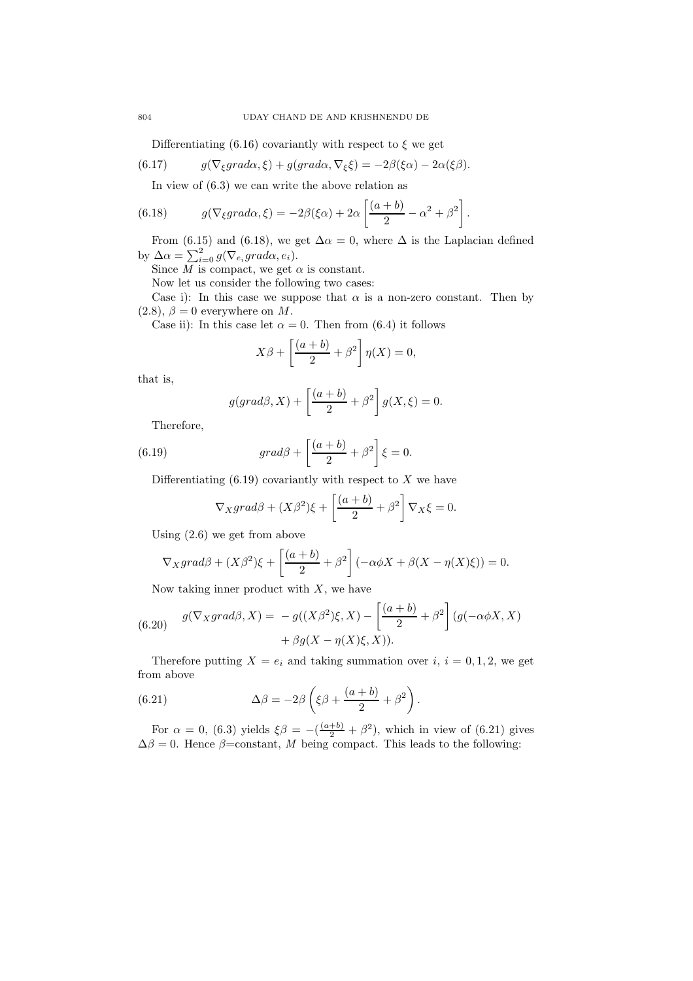Differentiating (6.16) covariantly with respect to  $\xi$  we get

(6.17) 
$$
g(\nabla_{\xi}grad\alpha,\xi) + g(grad\alpha,\nabla_{\xi}\xi) = -2\beta(\xi\alpha) - 2\alpha(\xi\beta).
$$

In view of (6.3) we can write the above relation as

(6.18) 
$$
g(\nabla_{\xi}grad\alpha,\xi) = -2\beta(\xi\alpha) + 2\alpha \left[\frac{(a+b)}{2} - \alpha^2 + \beta^2\right].
$$

From (6.15) and (6.18), we get  $\Delta \alpha = 0$ , where  $\Delta$  is the Laplacian defined by  $\Delta \alpha = \sum_{i=0}^{2} g(\nabla_{e_i} grad \alpha, e_i).$ 

Since  $M$  is compact, we get  $\alpha$  is constant.

Now let us consider the following two cases:

Case i): In this case we suppose that  $\alpha$  is a non-zero constant. Then by  $(2.8), \beta = 0$  everywhere on M.

Case ii): In this case let  $\alpha = 0$ . Then from (6.4) it follows

$$
X\beta + \left[\frac{(a+b)}{2} + \beta^2\right]\eta(X) = 0,
$$

that is,

$$
g(grad\beta, X) + \left[\frac{(a+b)}{2} + \beta^2\right]g(X, \xi) = 0.
$$

Therefore,

(6.19) 
$$
grad\beta + \left[\frac{(a+b)}{2} + \beta^2\right]\xi = 0.
$$

Differentiating  $(6.19)$  covariantly with respect to X we have

$$
\nabla_X grad\beta + (X\beta^2)\xi + \left[\frac{(a+b)}{2} + \beta^2\right] \nabla_X \xi = 0.
$$

Using (2.6) we get from above

$$
\nabla_X grad\beta + (X\beta^2)\xi + \left[\frac{(a+b)}{2} + \beta^2\right] \left(-\alpha\phi X + \beta(X-\eta(X)\xi)\right) = 0.
$$

Now taking inner product with  $X$ , we have

(6.20) 
$$
g(\nabla_X grad\beta, X) = -g((X\beta^2)\xi, X) - \left[\frac{(a+b)}{2} + \beta^2\right] (g(-\alpha\phi X, X)) + \beta g(X - \eta(X)\xi, X)).
$$

Therefore putting  $X = e_i$  and taking summation over  $i, i = 0, 1, 2$ , we get from above

(6.21) 
$$
\Delta \beta = -2\beta \left( \xi \beta + \frac{(a+b)}{2} + \beta^2 \right).
$$

For  $\alpha = 0$ , (6.3) yields  $\xi \beta = -(\frac{(a+b)}{2} + \beta^2)$ , which in view of (6.21) gives  $\Delta\beta = 0$ . Hence  $\beta$ =constant, M being compact. This leads to the following: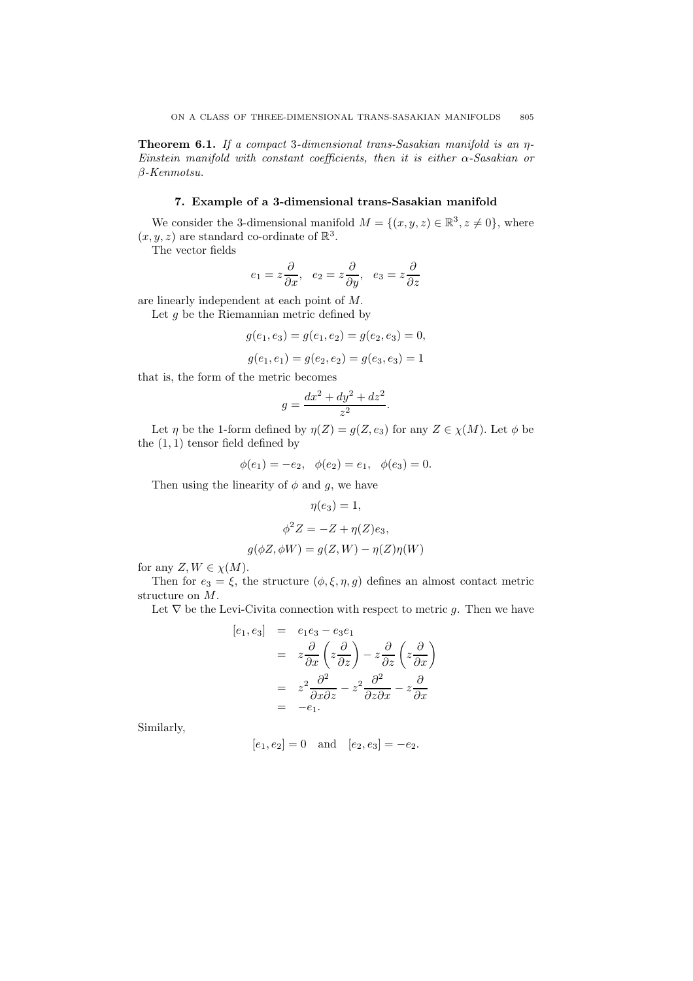Theorem 6.1. If a compact 3-dimensional trans-Sasakian manifold is an η-Einstein manifold with constant coefficients, then it is either  $\alpha$ -Sasakian or β-Kenmotsu.

# 7. Example of a 3-dimensional trans-Sasakian manifold

We consider the 3-dimensional manifold  $M = \{(x, y, z) \in \mathbb{R}^3, z \neq 0\}$ , where  $(x, y, z)$  are standard co-ordinate of  $\mathbb{R}^3$ .

The vector fields

$$
e_1=z\frac{\partial}{\partial x},\ \ e_2=z\frac{\partial}{\partial y},\ \ e_3=z\frac{\partial}{\partial z}
$$

are linearly independent at each point of M.

Let  $g$  be the Riemannian metric defined by

$$
g(e_1, e_3) = g(e_1, e_2) = g(e_2, e_3) = 0,
$$

$$
g(e_1, e_1) = g(e_2, e_2) = g(e_3, e_3) = 1
$$

that is, the form of the metric becomes

$$
g = \frac{dx^2 + dy^2 + dz^2}{z^2}.
$$

Let  $\eta$  be the 1-form defined by  $\eta(Z) = g(Z, e_3)$  for any  $Z \in \chi(M)$ . Let  $\phi$  be the  $(1, 1)$  tensor field defined by

$$
\phi(e_1) = -e_2, \quad \phi(e_2) = e_1, \quad \phi(e_3) = 0.
$$

Then using the linearity of  $\phi$  and  $g$ , we have

$$
\eta(e_3) = 1,
$$
  
\n
$$
\phi^2 Z = -Z + \eta(Z)e_3,
$$
  
\n
$$
g(\phi Z, \phi W) = g(Z, W) - \eta(Z)\eta(W)
$$

for any  $Z, W \in \chi(M)$ .

Then for  $e_3 = \xi$ , the structure  $(\phi, \xi, \eta, g)$  defines an almost contact metric structure on M.

Let  $\nabla$  be the Levi-Civita connection with respect to metric g. Then we have

$$
[e_1, e_3] = e_1e_3 - e_3e_1
$$
  
=  $z\frac{\partial}{\partial x}\left(z\frac{\partial}{\partial z}\right) - z\frac{\partial}{\partial z}\left(z\frac{\partial}{\partial x}\right)$   
=  $z^2\frac{\partial^2}{\partial x\partial z} - z^2\frac{\partial^2}{\partial z\partial x} - z\frac{\partial}{\partial x}$   
=  $-e_1$ .

Similarly,

$$
[e_1, e_2] = 0
$$
 and  $[e_2, e_3] = -e_2$ .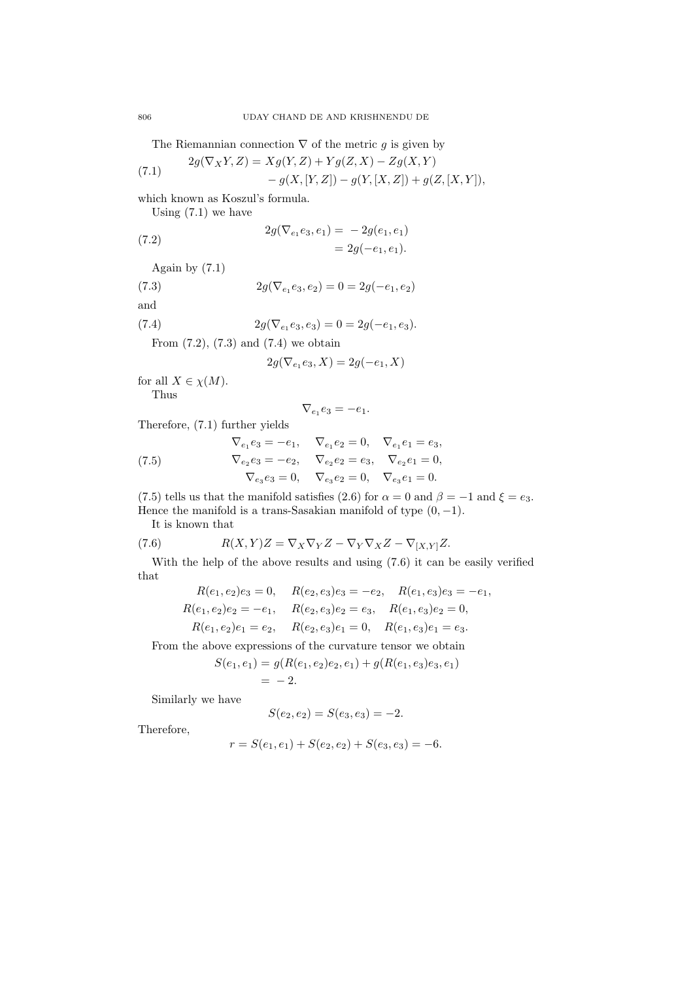The Riemannian connection  $\nabla$  of the metric g is given by

(7.1) 
$$
2g(\nabla_X Y, Z) = Xg(Y, Z) + Yg(Z, X) - Zg(X, Y) - g(X, [Y, Z]) - g(Y, [X, Z]) + g(Z, [X, Y]),
$$

which known as Koszul's formula.

Using  $(7.1)$  we have

(7.2) 
$$
2g(\nabla_{e_1}e_3, e_1) = -2g(e_1, e_1) = 2g(-e_1, e_1).
$$

Again by (7.1)

(7.3) 
$$
2g(\nabla_{e_1}e_3, e_2) = 0 = 2g(-e_1, e_2)
$$

and

(7.4) 
$$
2g(\nabla_{e_1}e_3, e_3) = 0 = 2g(-e_1, e_3).
$$

From  $(7.2)$ ,  $(7.3)$  and  $(7.4)$  we obtain

$$
2g(\nabla_{e_1}e_3, X) = 2g(-e_1, X)
$$

for all  $X \in \chi(M)$ .

Thus

$$
\nabla_{e_1}e_3=-e_1.
$$

Therefore, (7.1) further yields

(7.5) 
$$
\nabla_{e_1} e_3 = -e_1, \quad \nabla_{e_1} e_2 = 0, \quad \nabla_{e_1} e_1 = e_3,
$$

$$
\nabla_{e_2} e_3 = -e_2, \quad \nabla_{e_2} e_2 = e_3, \quad \nabla_{e_2} e_1 = 0,
$$

$$
\nabla_{e_3} e_3 = 0, \quad \nabla_{e_3} e_2 = 0, \quad \nabla_{e_3} e_1 = 0.
$$

(7.5) tells us that the manifold satisfies (2.6) for  $\alpha = 0$  and  $\beta = -1$  and  $\xi = e_3$ . Hence the manifold is a trans-Sasakian manifold of type  $(0, -1)$ .

It is known that

(7.6) 
$$
R(X,Y)Z = \nabla_X \nabla_Y Z - \nabla_Y \nabla_X Z - \nabla_{[X,Y]} Z.
$$

With the help of the above results and using (7.6) it can be easily verified that

$$
R(e_1, e_2)e_3 = 0, \quad R(e_2, e_3)e_3 = -e_2, \quad R(e_1, e_3)e_3 = -e_1,
$$
  
\n
$$
R(e_1, e_2)e_2 = -e_1, \quad R(e_2, e_3)e_2 = e_3, \quad R(e_1, e_3)e_2 = 0,
$$
  
\n
$$
R(e_1, e_2)e_1 = e_2, \quad R(e_2, e_3)e_1 = 0, \quad R(e_1, e_3)e_1 = e_3.
$$

From the above expressions of the curvature tensor we obtain

$$
S(e_1, e_1) = g(R(e_1, e_2)e_2, e_1) + g(R(e_1, e_3)e_3, e_1)
$$
  
= -2.

Similarly we have

$$
S(e_2, e_2) = S(e_3, e_3) = -2.
$$

Therefore,

$$
r = S(e_1, e_1) + S(e_2, e_2) + S(e_3, e_3) = -6.
$$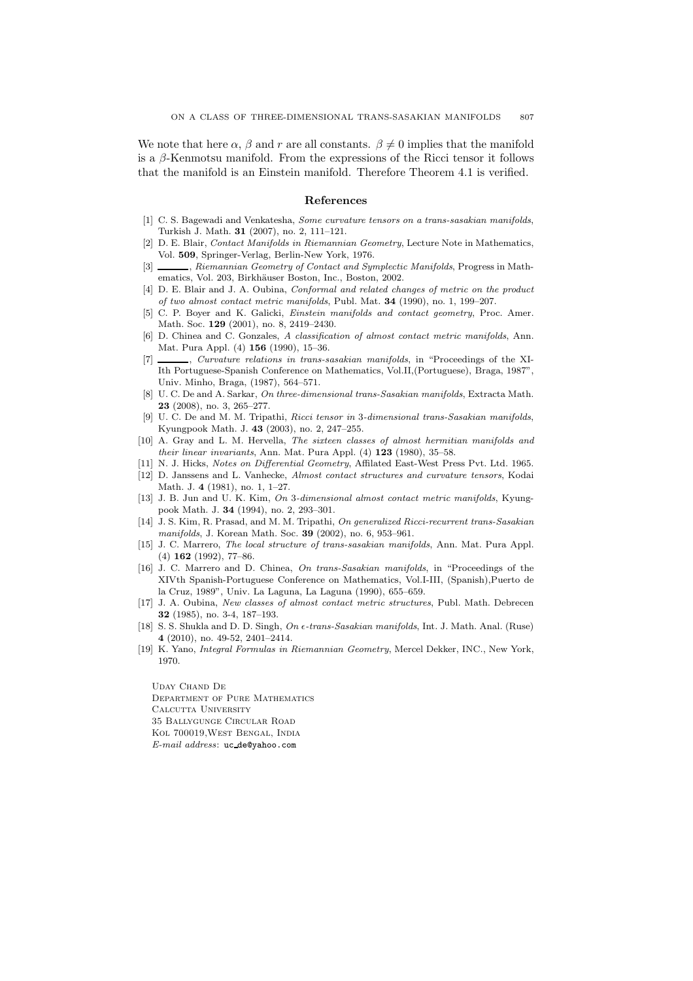We note that here  $\alpha,\,\beta$  and  $r$  are all constants.  $\beta\neq 0$  implies that the manifold is a  $\beta$ -Kenmotsu manifold. From the expressions of the Ricci tensor it follows that the manifold is an Einstein manifold. Therefore Theorem 4.1 is verified.

### References

- [1] C. S. Bagewadi and Venkatesha, Some curvature tensors on a trans-sasakian manifolds, Turkish J. Math. 31 (2007), no. 2, 111–121.
- [2] D. E. Blair, Contact Manifolds in Riemannian Geometry, Lecture Note in Mathematics, Vol. 509, Springer-Verlag, Berlin-New York, 1976.
- , Riemannian Geometry of Contact and Symplectic Manifolds, Progress in Mathematics, Vol. 203, Birkhäuser Boston, Inc., Boston, 2002.
- [4] D. E. Blair and J. A. Oubina, Conformal and related changes of metric on the product of two almost contact metric manifolds, Publ. Mat. 34 (1990), no. 1, 199–207.
- [5] C. P. Boyer and K. Galicki, Einstein manifolds and contact geometry, Proc. Amer. Math. Soc. 129 (2001), no. 8, 2419–2430.
- [6] D. Chinea and C. Gonzales, A classification of almost contact metric manifolds, Ann. Mat. Pura Appl. (4) 156 (1990), 15–36.
- [7]  $\frac{1}{2}$ , Curvature relations in trans-sasakian manifolds, in "Proceedings of the XI-Ith Portuguese-Spanish Conference on Mathematics, Vol.II,(Portuguese), Braga, 1987", Univ. Minho, Braga, (1987), 564–571.
- [8] U. C. De and A. Sarkar, On three-dimensional trans-Sasakian manifolds, Extracta Math. 23 (2008), no. 3, 265–277.
- [9] U. C. De and M. M. Tripathi, Ricci tensor in 3-dimensional trans-Sasakian manifolds, Kyungpook Math. J. 43 (2003), no. 2, 247–255.
- [10] A. Gray and L. M. Hervella, The sixteen classes of almost hermitian manifolds and their linear invariants, Ann. Mat. Pura Appl. (4) 123 (1980), 35–58.
- [11] N. J. Hicks, Notes on Differential Geometry, Affilated East-West Press Pvt. Ltd. 1965.
- [12] D. Janssens and L. Vanhecke, Almost contact structures and curvature tensors, Kodai Math. J. 4 (1981), no. 1, 1–27.
- [13] J. B. Jun and U. K. Kim, On 3-dimensional almost contact metric manifolds, Kyungpook Math. J. 34 (1994), no. 2, 293–301.
- [14] J. S. Kim, R. Prasad, and M. M. Tripathi, On generalized Ricci-recurrent trans-Sasakian manifolds, J. Korean Math. Soc. 39 (2002), no. 6, 953–961.
- [15] J. C. Marrero, The local structure of trans-sasakian manifolds, Ann. Mat. Pura Appl. (4) 162 (1992), 77–86.
- [16] J. C. Marrero and D. Chinea, On trans-Sasakian manifolds, in "Proceedings of the XIVth Spanish-Portuguese Conference on Mathematics, Vol.I-III, (Spanish),Puerto de la Cruz, 1989", Univ. La Laguna, La Laguna (1990), 655–659.
- [17] J. A. Oubina, New classes of almost contact metric structures, Publ. Math. Debrecen 32 (1985), no. 3-4, 187–193.
- [18] S. S. Shukla and D. D. Singh,  $On \epsilon\text{-}trans\text{-}Sasakian manifolds, Int. J. Math. Anal. (Ruse)$ 4 (2010), no. 49-52, 2401–2414.
- [19] K. Yano, Integral Formulas in Riemannian Geometry, Mercel Dekker, INC., New York, 1970.

Uday Chand De Department of Pure Mathematics Calcutta University 35 Ballygunge Circular Road Kol 700019,West Bengal, India E-mail address: uc de@yahoo.com